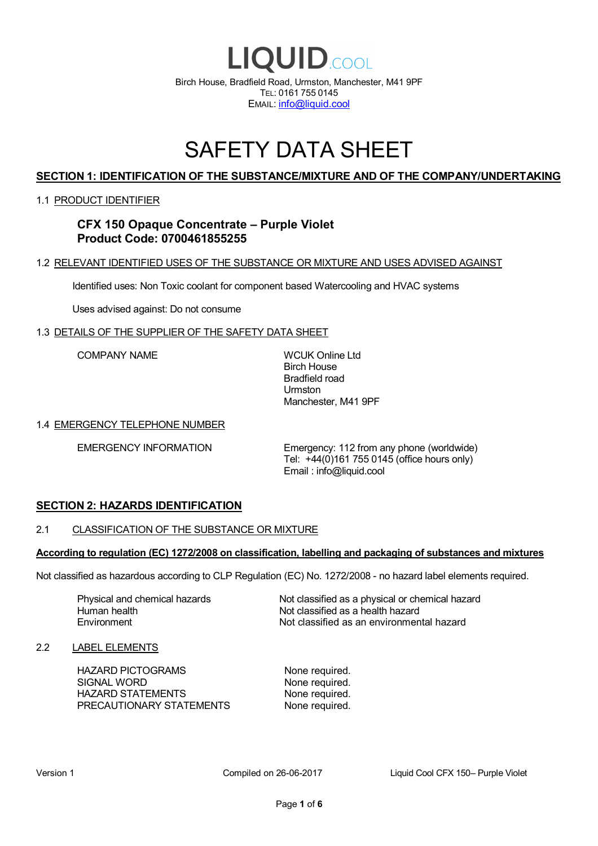

# SAFETY DATA SHEET

# **SECTION 1: IDENTIFICATION OF THE SUBSTANCE/MIXTURE AND OF THE COMPANY/UNDERTAKING**

### 1.1 PRODUCT IDENTIFIER

# **CFX 150 Opaque Concentrate – Purple Violet Product Code: 0700461855255**

### 1.2 RELEVANT IDENTIFIED USES OF THE SUBSTANCE OR MIXTURE AND USES ADVISED AGAINST

Identified uses: Non Toxic coolant for component based Watercooling and HVAC systems

Uses advised against: Do not consume

### 1.3 DETAILS OF THE SUPPLIER OF THE SAFETY DATA SHEET

COMPANY NAME WCUK Online Ltd

Birch House Bradfield road Urmston Manchester, M41 9PF

### 1.4 EMERGENCY TELEPHONE NUMBER

EMERGENCY INFORMATION Emergency: 112 from any phone (worldwide) Tel: +44(0)161 755 0145 (office hours only) Email : info@liquid.cool

# **SECTION 2: HAZARDS IDENTIFICATION**

### 2.1 CLASSIFICATION OF THE SUBSTANCE OR MIXTURE

### **According to regulation (EC) 1272/2008 on classification, labelling and packaging of substances and mixtures**

Not classified as hazardous according to CLP Regulation (EC) No. 1272/2008 - no hazard label elements required.

Human health **Environment** 

Physical and chemical hazards Not classified as a physical or chemical hazard Not classified as a health hazard Not classified as an environmental hazard

### 2.2 LABEL ELEMENTS

HAZARD PICTOGRAMS None required. SIGNAL WORD None required. HAZARD STATEMENTS None required. PRECAUTIONARY STATEMENTS None required.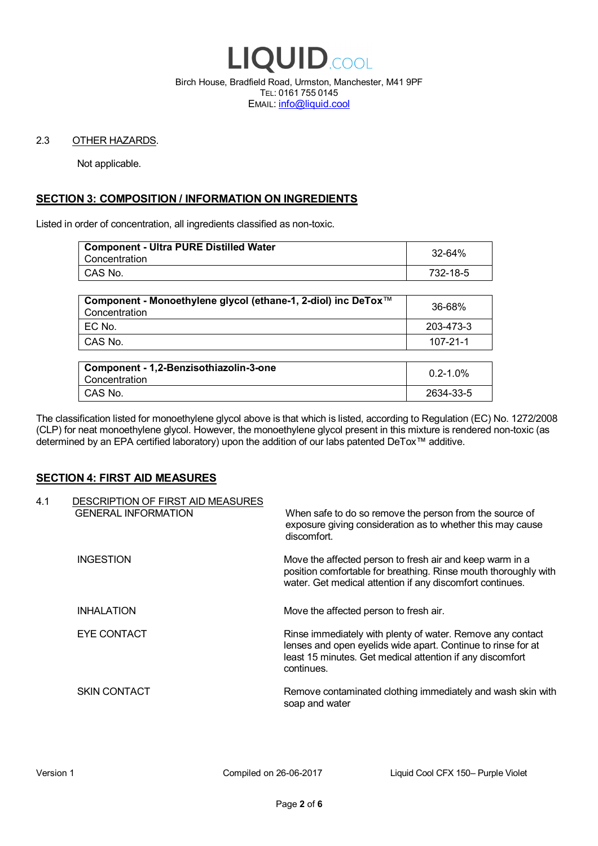

Birch House, Bradfield Road, Urmston, Manchester, M41 9PF TEL: 0161 755 0145 EMAIL: info@liquid.cool

### 2.3 OTHER HAZARDS.

Not applicable.

# **SECTION 3: COMPOSITION / INFORMATION ON INGREDIENTS**

Listed in order of concentration, all ingredients classified as non-toxic.

| <b>Component - Ultra PURE Distilled Water</b><br>Concentration | 32-64%   |
|----------------------------------------------------------------|----------|
| CAS No.                                                        | 732-18-5 |
|                                                                |          |

| Component - Monoethylene glycol (ethane-1, 2-diol) inc DeTox™<br>Concentration | 36-68%    |
|--------------------------------------------------------------------------------|-----------|
| ' EC No.                                                                       | 203-473-3 |
| ∣ CAS No.                                                                      | 107-21-1  |

| Component - 1,2-Benzisothiazolin-3-one<br>Concentration | $0.2 - 1.0\%$ |
|---------------------------------------------------------|---------------|
| CAS No.                                                 | 2634-33-5     |

The classification listed for monoethylene glycol above is that which is listed, according to Regulation (EC) No. 1272/2008 (CLP) for neat monoethylene glycol. However, the monoethylene glycol present in this mixture is rendered non-toxic (as determined by an EPA certified laboratory) upon the addition of our labs patented DeTox™ additive.

### **SECTION 4: FIRST AID MEASURES**

| 4.1 | DESCRIPTION OF FIRST AID MEASURES<br><b>GENERAL INFORMATION</b> | When safe to do so remove the person from the source of<br>exposure giving consideration as to whether this may cause<br>discomfort.                                                                  |
|-----|-----------------------------------------------------------------|-------------------------------------------------------------------------------------------------------------------------------------------------------------------------------------------------------|
|     | <b>INGESTION</b>                                                | Move the affected person to fresh air and keep warm in a<br>position comfortable for breathing. Rinse mouth thoroughly with<br>water. Get medical attention if any discomfort continues.              |
|     | <b>INHALATION</b>                                               | Move the affected person to fresh air.                                                                                                                                                                |
|     | EYE CONTACT                                                     | Rinse immediately with plenty of water. Remove any contact<br>lenses and open eyelids wide apart. Continue to rinse for at<br>least 15 minutes. Get medical attention if any discomfort<br>continues. |
|     | <b>SKIN CONTACT</b>                                             | Remove contaminated clothing immediately and wash skin with<br>soap and water                                                                                                                         |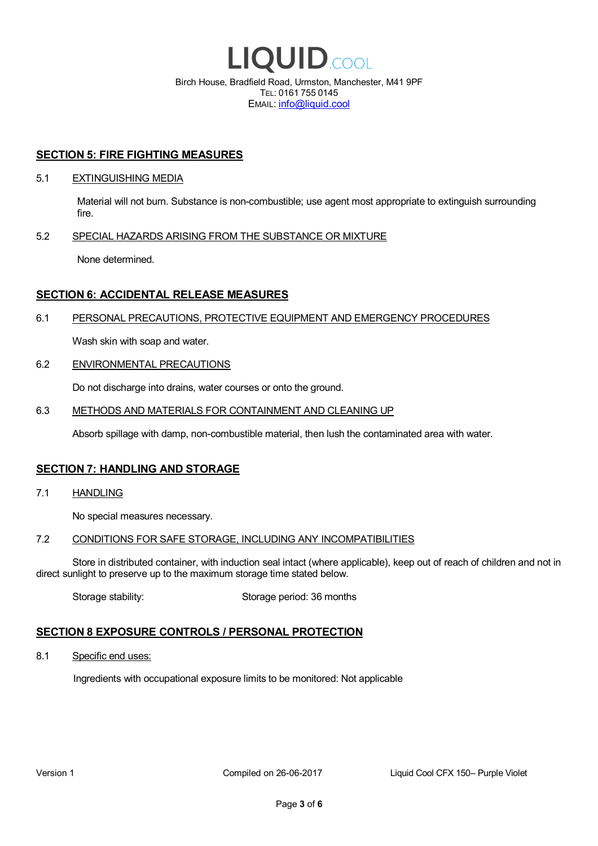

EMAIL: info@liquid.cool

### **SECTION 5: FIRE FIGHTING MEASURES**

### 5.1 EXTINGUISHING MEDIA

Material will not burn. Substance is non-combustible; use agent most appropriate to extinguish surrounding fire.

### 5.2 SPECIAL HAZARDS ARISING FROM THE SUBSTANCE OR MIXTURE

None determined.

### **SECTION 6: ACCIDENTAL RELEASE MEASURES**

### 6.1 PERSONAL PRECAUTIONS, PROTECTIVE EQUIPMENT AND EMERGENCY PROCEDURES

Wash skin with soap and water.

### 6.2 ENVIRONMENTAL PRECAUTIONS

Do not discharge into drains, water courses or onto the ground.

### 6.3 METHODS AND MATERIALS FOR CONTAINMENT AND CLEANING UP

Absorb spillage with damp, non-combustible material, then lush the contaminated area with water.

### **SECTION 7: HANDLING AND STORAGE**

7.1 HANDLING

No special measures necessary.

### 7.2 CONDITIONS FOR SAFE STORAGE, INCLUDING ANY INCOMPATIBILITIES

Store in distributed container, with induction seal intact (where applicable), keep out of reach of children and not in direct sunlight to preserve up to the maximum storage time stated below.

Storage stability: Storage period: 36 months

# **SECTION 8 EXPOSURE CONTROLS / PERSONAL PROTECTION**

8.1 Specific end uses:

Ingredients with occupational exposure limits to be monitored: Not applicable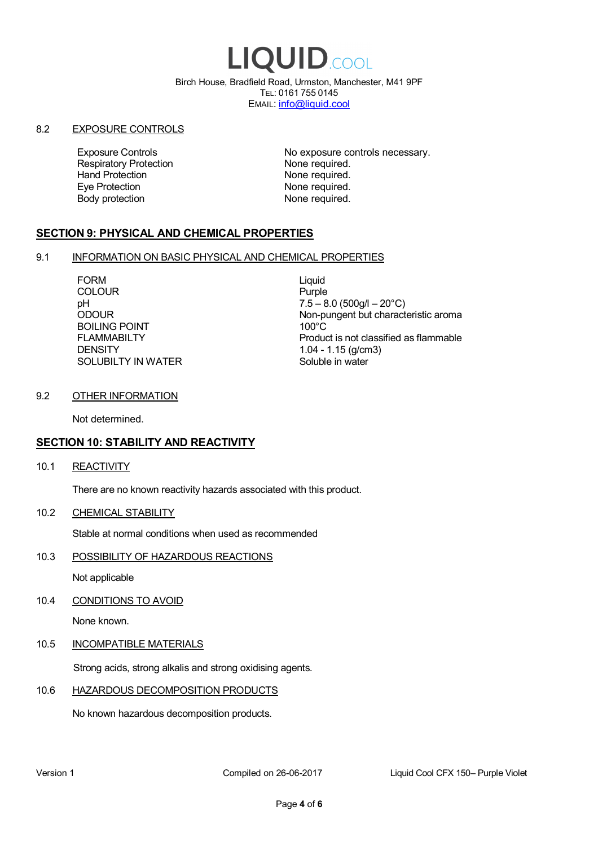# LIQUID.COOL

Birch House, Bradfield Road, Urmston, Manchester, M41 9PF TEL: 0161 755 0145 EMAIL: info@liquid.cool

### 8.2 EXPOSURE CONTROLS

Respiratory Protection **None required.**<br>
Hand Protection **None required.** Eye Protection **None required.** Body protection None required.

Exposure Controls **Exposure Controls** No exposure controls necessary. None required.

# **SECTION 9: PHYSICAL AND CHEMICAL PROPERTIES**

### 9.1 INFORMATION ON BASIC PHYSICAL AND CHEMICAL PROPERTIES

FORM Liquid COLOUR Purple BOILING POINT FLAMMABILTY **DENSITY** SOLUBILTY IN WATER

pH<br>
DDOUR
20°C)
2000UR
2000UR
2000UR
2000UR Non-pungent but characteristic aroma 100°C Product is not classified as flammable 1.04 - 1.15 (g/cm3) Soluble in water

### 9.2 OTHER INFORMATION

Not determined.

# **SECTION 10: STABILITY AND REACTIVITY**

10.1 REACTIVITY

There are no known reactivity hazards associated with this product.

10.2 CHEMICAL STABILITY

Stable at normal conditions when used as recommended

10.3 POSSIBILITY OF HAZARDOUS REACTIONS

Not applicable

10.4 CONDITIONS TO AVOID

None known.

### 10.5 INCOMPATIBLE MATERIALS

Strong acids, strong alkalis and strong oxidising agents.

### 10.6 HAZARDOUS DECOMPOSITION PRODUCTS

No known hazardous decomposition products.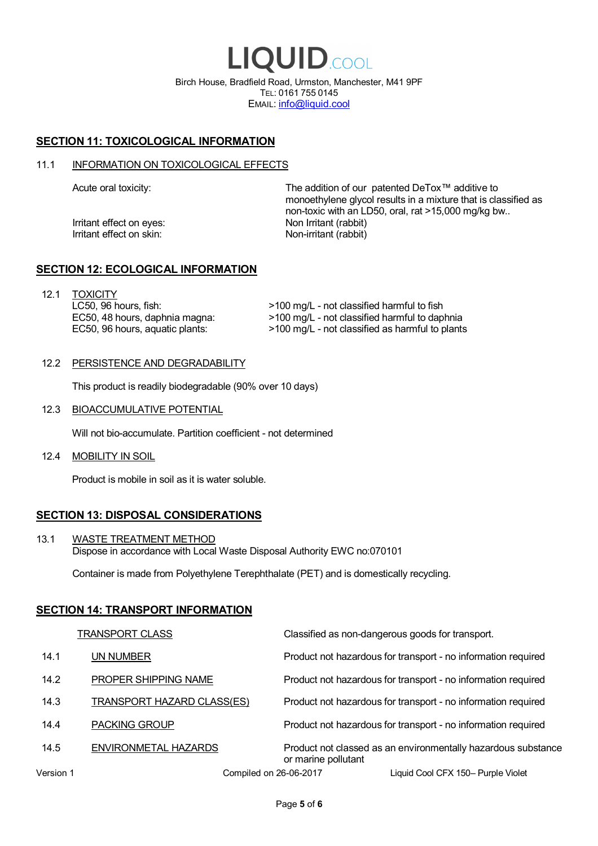LIQUID.COOL Birch House, Bradfield Road, Urmston, Manchester, M41 9PF TEL: 0161 755 0145 EMAIL: info@liquid.cool

# **SECTION 11: TOXICOLOGICAL INFORMATION**

### 11.1 INFORMATION ON TOXICOLOGICAL EFFECTS

Irritant effect on eves: Non Irritant (rabbit) Irritant effect on skin: Non-irritant (rabbit)

Acute oral toxicity: The addition of our patented DeTox™ additive to monoethylene glycol results in a mixture that is classified as non-toxic with an LD50, oral, rat >15,000 mg/kg bw..

### **SECTION 12: ECOLOGICAL INFORMATION**

12.1 TOXICITY LC50, 96 hours, fish: EC50, 48 hours, daphnia magna: EC50, 96 hours, aquatic plants:

>100 mg/L - not classified harmful to fish >100 mg/L - not classified harmful to daphnia >100 mg/L - not classified as harmful to plants

### 12.2 PERSISTENCE AND DEGRADABILITY

This product is readily biodegradable (90% over 10 days)

12.3 BIOACCUMULATIVE POTENTIAL

Will not bio-accumulate. Partition coefficient - not determined

12.4 MOBILITY IN SOIL

Product is mobile in soil as it is water soluble.

# **SECTION 13: DISPOSAL CONSIDERATIONS**

13.1 WASTE TREATMENT METHOD Dispose in accordance with Local Waste Disposal Authority EWC no:070101

Container is made from Polyethylene Terephthalate (PET) and is domestically recycling.

### **SECTION 14: TRANSPORT INFORMATION**

|           | <b>TRANSPORT CLASS</b>            | Classified as non-dangerous goods for transport.                                     |
|-----------|-----------------------------------|--------------------------------------------------------------------------------------|
| 14.1      | UN NUMBER                         | Product not hazardous for transport - no information required                        |
| 14.2      | PROPER SHIPPING NAME              | Product not hazardous for transport - no information required                        |
| 14.3      | <b>TRANSPORT HAZARD CLASS(ES)</b> | Product not hazardous for transport - no information required                        |
| 14.4      | <b>PACKING GROUP</b>              | Product not hazardous for transport - no information required                        |
| 14.5      | ENVIRONMETAL HAZARDS              | Product not classed as an environmentally hazardous substance<br>or marine pollutant |
| Version 1 | Compiled on 26-06-2017            | Liquid Cool CFX 150- Purple Violet                                                   |